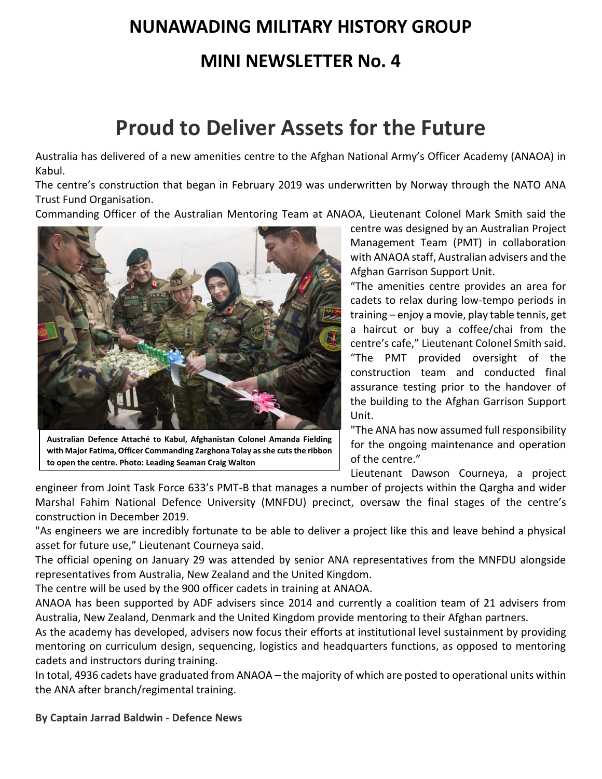# **NUNAWADING MILITARY HISTORY GROUP**

### **MINI NEWSLETTER No. 4**

### **Proud to Deliver Assets for the Future**

Australia has delivered of a new amenities centre to the Afghan National Army's Officer Academy (ANAOA) in Kabul.

The centre's construction that began in February 2019 was underwritten by Norway through the NATO ANA Trust Fund Organisation.

Commanding Officer of the Australian Mentoring Team at ANAOA, Lieutenant Colonel Mark Smith said the



**Australian Defence Attaché to Kabul, Afghanistan Colonel Amanda Fielding with Major Fatima, Officer Commanding Zarghona Tolay as she cuts the ribbon to open the centre. Photo: Leading Seaman Craig Walton**

centre was designed by an Australian Project Management Team (PMT) in collaboration with ANAOA staff, Australian advisers and the Afghan Garrison Support Unit.

"The amenities centre provides an area for cadets to relax during low-tempo periods in training – enjoy a movie, play table tennis, get a haircut or buy a coffee/chai from the centre's cafe," Lieutenant Colonel Smith said. "The PMT provided oversight of the construction team and conducted final assurance testing prior to the handover of the building to the Afghan Garrison Support Unit.

"The ANA has now assumed full responsibility for the ongoing maintenance and operation of the centre."

Lieutenant Dawson Courneya, a project

engineer from Joint Task Force 633's PMT-B that manages a number of projects within the Qargha and wider Marshal Fahim National Defence University (MNFDU) precinct, oversaw the final stages of the centre's construction in December 2019.

"As engineers we are incredibly fortunate to be able to deliver a project like this and leave behind a physical asset for future use," Lieutenant Courneya said.

The official opening on January 29 was attended by senior ANA representatives from the MNFDU alongside representatives from Australia, New Zealand and the United Kingdom.

The centre will be used by the 900 officer cadets in training at ANAOA.

ANAOA has been supported by ADF advisers since 2014 and currently a coalition team of 21 advisers from Australia, New Zealand, Denmark and the United Kingdom provide mentoring to their Afghan partners.

As the academy has developed, advisers now focus their efforts at institutional level sustainment by providing mentoring on curriculum design, sequencing, logistics and headquarters functions, as opposed to mentoring cadets and instructors during training.

In total, 4936 cadets have graduated from ANAOA – the majority of which are posted to operational units within the ANA after branch/regimental training.

**By Captain Jarrad Baldwin - Defence News**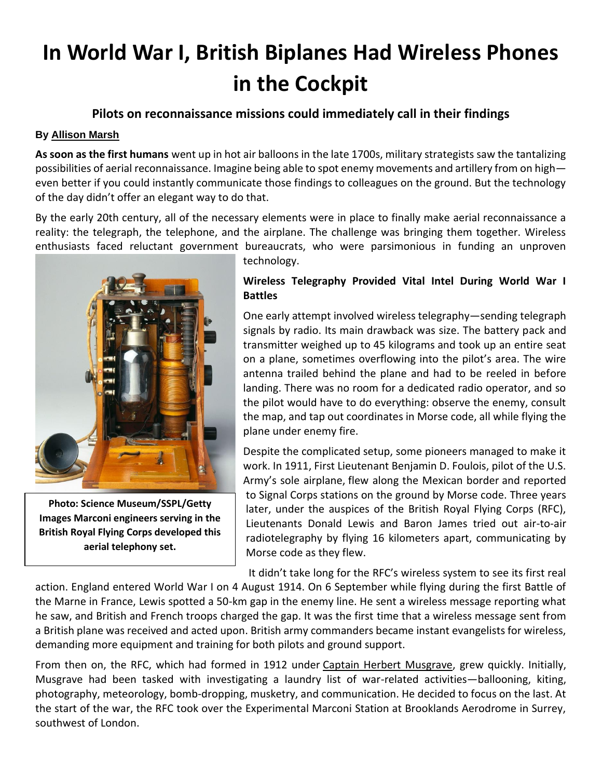## **In World War I, British Biplanes Had Wireless Phones in the Cockpit**

#### **Pilots on reconnaissance missions could immediately call in their findings**

#### **By [Allison Marsh](https://spectrum.ieee.org/author/allison-marsh)**

**As soon as the first humans** went up in hot air balloons in the late 1700s, military strategists saw the tantalizing possibilities of aerial reconnaissance. Imagine being able to spot enemy movements and artillery from on high even better if you could instantly communicate those findings to colleagues on the ground. But the technology of the day didn't offer an elegant way to do that.

By the early 20th century, all of the necessary elements were in place to finally make aerial reconnaissance a reality: the telegraph, the telephone, and the airplane. The challenge was bringing them together. Wireless enthusiasts faced reluctant government bureaucrats, who were parsimonious in funding an unproven



**Photo: Science Museum/SSPL/Getty Images Marconi engineers serving in the British Royal Flying Corps developed this aerial telephony set.**

technology.

#### **Wireless Telegraphy Provided Vital Intel During World War I Battles**

One early attempt involved wireless telegraphy—sending telegraph signals by radio. Its main drawback was size. The battery pack and transmitter weighed up to [45 kilograms](http://marconiheritage.org/ww1-air.html) and took up an entire seat on a plane, sometimes overflowing into the pilot's area. The wire antenna trailed behind the plane and had to be reeled in before landing. There was no room for a dedicated radio operator, and so the pilot would have to do everything: observe the enemy, consult the map, and tap out coordinates in Morse code, all while flying the plane under enemy fire.

Despite the complicated setup, some pioneers managed to make it work. In 1911, First Lieutenant Benjamin D. Foulois, pilot of the U.S. Army's sole airplane, [flew along the Mexican border](https://history.army.mil/books/30-17/S_4.htm) and reported to Signal Corps stations on the ground by Morse code. Three years later, under the auspices of the British Royal Flying Corps (RFC), Lieutenants Donald Lewis and Baron James tried out air-to-air radiotelegraphy by flying 16 kilometers apart, communicating by Morse code as they flew.

It didn't take long for the RFC's wireless system to see its first real

action. England entered World War I on 4 August 1914. On 6 September while flying during the first Battle of the Marne in France, Lewis spotted a 50-km gap in the enemy line. He sent a wireless message reporting what he saw, and British and French troops charged the gap. It was the first time that a wireless message sent from a British plane was received and acted upon. British army commanders became instant evangelists for wireless, demanding more equipment and training for both pilots and ground support.

From then on, the RFC, which had formed in 1912 under [Captain Herbert Musgrave,](https://spartacus-educational.com/FWWmusgrave.htm) grew quickly. Initially, Musgrave had been tasked with investigating a laundry list of war-related activities—ballooning, kiting, photography, meteorology, bomb-dropping, musketry, and communication. He decided to focus on the last. At the start of the war, the RFC took over the Experimental Marconi Station at Brooklands Aerodrome in Surrey, southwest of London.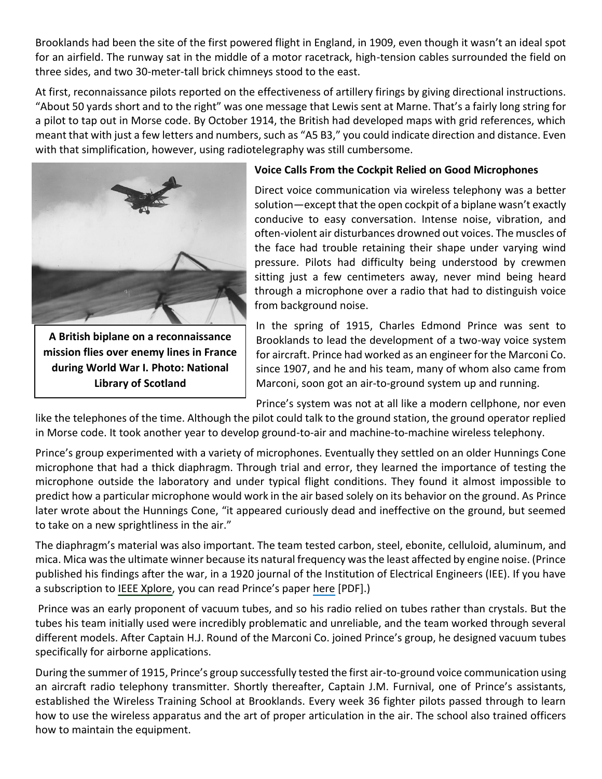Brooklands had been the site of the first powered flight in England, in 1909, even though it wasn't an ideal spot for an airfield. The runway sat in the middle of a motor racetrack, high-tension cables surrounded the field on three sides, and two 30-meter-tall brick chimneys stood to the east.

At first, reconnaissance pilots reported on the effectiveness of artillery firings by giving directional instructions. "About 50 yards short and to the right" was one message that Lewis sent at Marne. That's a fairly long string for a pilot to tap out in Morse code. By October 1914, the British had developed maps with grid references, which meant that with just a few letters and numbers, such as "A5 B3," you could indicate direction and distance. Even with that simplification, however, using radiotelegraphy was still cumbersome.



**A British biplane on a reconnaissance mission flies over enemy lines in France during World War I. Photo: National Library of Scotland**

#### **Voice Calls From the Cockpit Relied on Good Microphones**

Direct voice communication via wireless telephony was a better solution—except that the open cockpit of a biplane wasn't exactly conducive to easy conversation. Intense noise, vibration, and often-violent air disturbances drowned out voices. The muscles of the face had trouble retaining their shape under varying wind pressure. Pilots had difficulty being understood by crewmen sitting just a few centimeters away, never mind being heard through a microphone over a radio that had to distinguish voice from background noise.

In the spring of 1915, Charles Edmond Prince was sent to Brooklands to lead the development of a two-way voice system for aircraft. Prince had worked as an engineer for the Marconi Co. since 1907, and he and his team, many of whom also came from Marconi, soon got an air-to-ground system up and running.

Prince's system was not at all like a modern cellphone, nor even

like the telephones of the time. Although the pilot could talk to the ground station, the ground operator replied in Morse code. It took another year to develop ground-to-air and machine-to-machine wireless telephony.

Prince's group experimented with a variety of microphones. Eventually they settled on an older Hunnings Cone microphone that had a thick diaphragm. Through trial and error, they learned the importance of testing the microphone outside the laboratory and under typical flight conditions. They found it almost impossible to predict how a particular microphone would work in the air based solely on its behavior on the ground. As Prince later wrote about the Hunnings Cone, "it appeared curiously dead and ineffective on the ground, but seemed to take on a new sprightliness in the air."

The diaphragm's material was also important. The team tested carbon, steel, ebonite, celluloid, aluminum, and mica. Mica was the ultimate winner because its natural frequency was the least affected by engine noise. (Prince published his findings after the war, in a 1920 journal of the Institution of Electrical Engineers (IEE). If you have a subscription to [IEEE Xplore](https://ieeexplore.ieee.org/Xplore/home.jsp), you can read Prince's paper [here](https://ieeexplore.ieee.org/stamp/stamp.jsp?tp=&arnumber=5312527) [PDF].)

Prince was an early proponent of vacuum tubes, and so his radio relied on tubes rather than crystals. But the tubes his team initially used were incredibly problematic and unreliable, and the team worked through several different models. After [Captain H.J. Round](https://en.wikipedia.org/wiki/H._J._Round) of the Marconi Co. joined Prince's group, he designed vacuum tubes specifically for airborne applications.

During the summer of 1915, Prince's group successfully tested the first air-to-ground voice communication using an aircraft radio telephony transmitter. Shortly thereafter, Captain J.M. Furnival, one of Prince's assistants, established the Wireless Training School at Brooklands. Every week 36 fighter pilots passed through to learn how to use the wireless apparatus and the art of proper articulation in the air. The school also trained officers how to maintain the equipment.